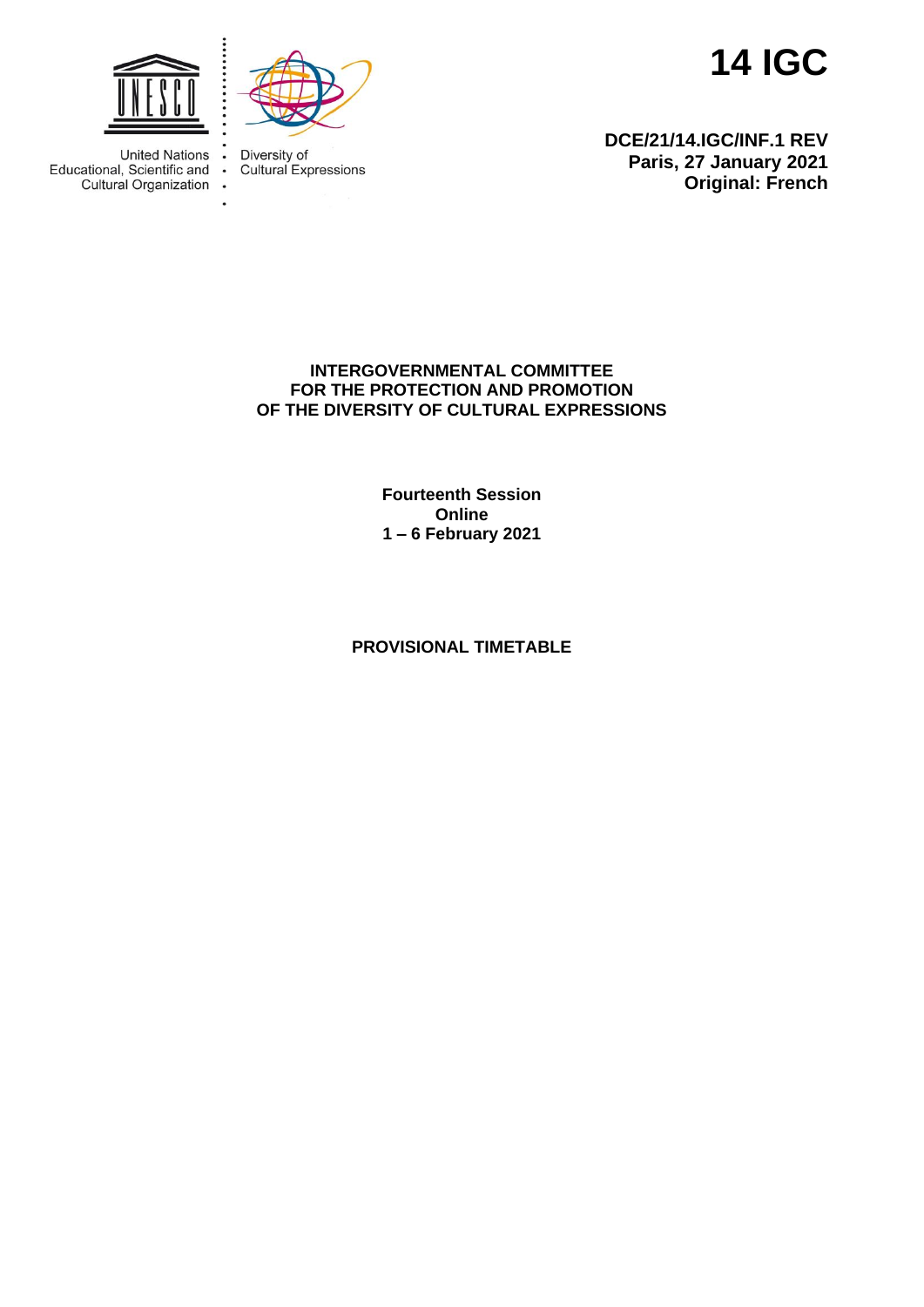

**Original: French**

**DCE/21/14.IGC/INF.1 REV Paris, 27 January 2021**



 $\bullet$ 

 $\bullet$ 

 $\sim$ 



**United Nations** Educational, Scientific and Cultural Organization Diversity of Cultural Expressions

## **INTERGOVERNMENTAL COMMITTEE FOR THE PROTECTION AND PROMOTION OF THE DIVERSITY OF CULTURAL EXPRESSIONS**

**Fourteenth Session Online 1 – 6 February 2021**

## **PROVISIONAL TIMETABLE**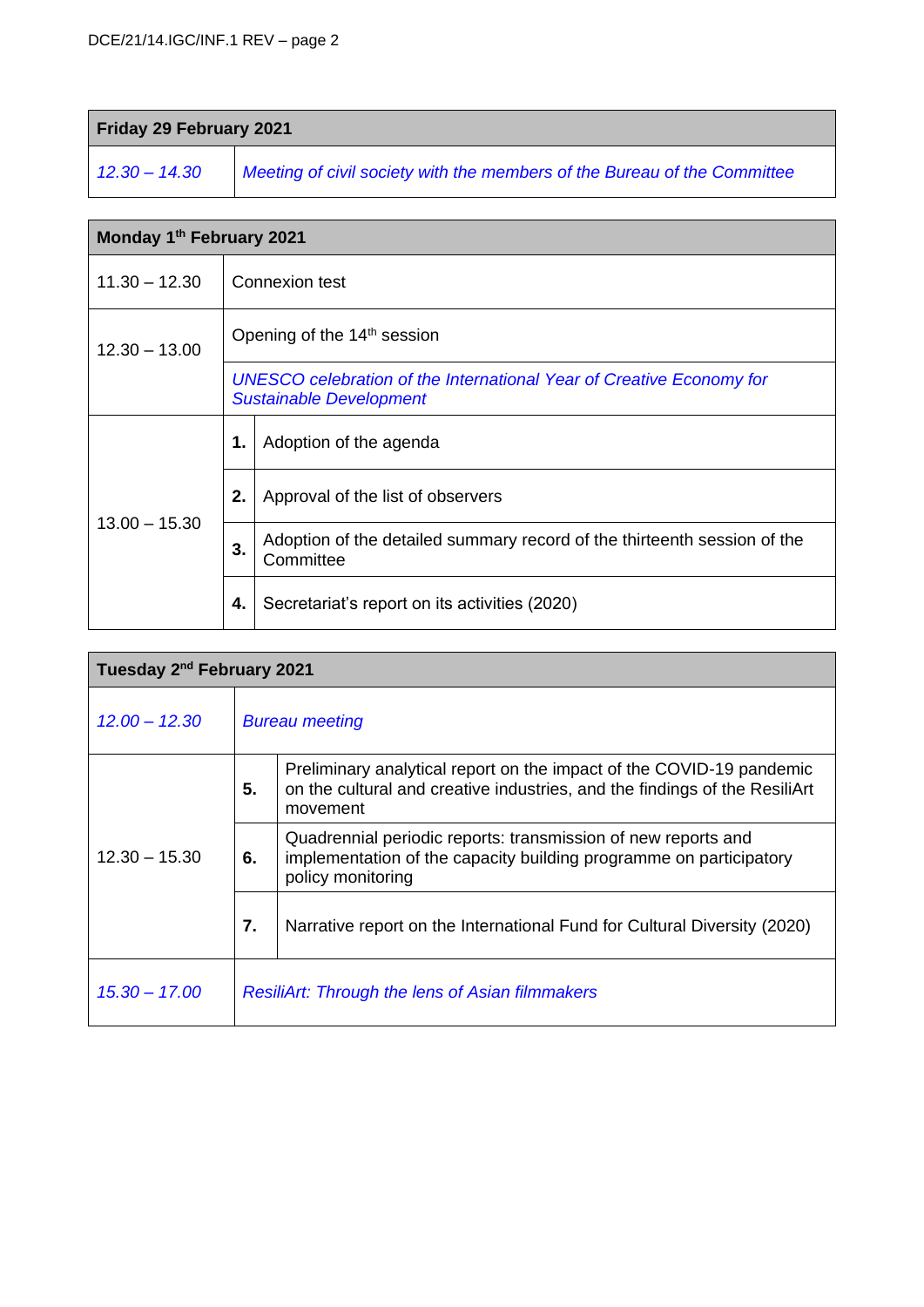| Friday 29 February 2021 |                                                                          |  |
|-------------------------|--------------------------------------------------------------------------|--|
| $12.30 - 14.30$         | Meeting of civil society with the members of the Bureau of the Committee |  |

| Monday 1 <sup>th</sup> February 2021 |                |                                                                                                        |  |  |
|--------------------------------------|----------------|--------------------------------------------------------------------------------------------------------|--|--|
| $11.30 - 12.30$                      | Connexion test |                                                                                                        |  |  |
| $12.30 - 13.00$                      |                | Opening of the 14 <sup>th</sup> session                                                                |  |  |
|                                      |                | UNESCO celebration of the International Year of Creative Economy for<br><b>Sustainable Development</b> |  |  |
| $13.00 - 15.30$                      | 1.             | Adoption of the agenda                                                                                 |  |  |
|                                      | 2.             | Approval of the list of observers                                                                      |  |  |
|                                      | 3.             | Adoption of the detailed summary record of the thirteenth session of the<br>Committee                  |  |  |
|                                      | 4.             | Secretariat's report on its activities (2020)                                                          |  |  |

| Tuesday 2 <sup>nd</sup> February 2021 |                                                        |                                                                                                                                                                |  |
|---------------------------------------|--------------------------------------------------------|----------------------------------------------------------------------------------------------------------------------------------------------------------------|--|
| $12.00 - 12.30$                       | <b>Bureau meeting</b>                                  |                                                                                                                                                                |  |
| $12.30 - 15.30$                       | 5.                                                     | Preliminary analytical report on the impact of the COVID-19 pandemic<br>on the cultural and creative industries, and the findings of the ResiliArt<br>movement |  |
|                                       | 6.                                                     | Quadrennial periodic reports: transmission of new reports and<br>implementation of the capacity building programme on participatory<br>policy monitoring       |  |
|                                       | 7.                                                     | Narrative report on the International Fund for Cultural Diversity (2020)                                                                                       |  |
| $15.30 - 17.00$                       | <b>ResiliArt: Through the lens of Asian filmmakers</b> |                                                                                                                                                                |  |